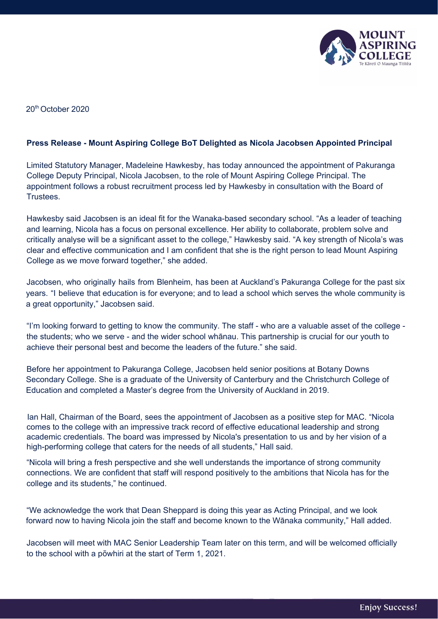

20 th October 2020

## **Press Release - Mount Aspiring College BoT Delighted as Nicola Jacobsen Appointed Principal**

Limited Statutory Manager, Madeleine Hawkesby, has today announced the appointment of Pakuranga College Deputy Principal, Nicola Jacobsen, to the role of Mount Aspiring College Principal. The appointment follows a robust recruitment process led by Hawkesby in consultation with the Board of Trustees.

Hawkesby said Jacobsen is an ideal fit for the Wanaka-based secondary school. "As a leader of teaching and learning, Nicola has a focus on personal excellence. Her ability to collaborate, problem solve and critically analyse will be a significant asset to the college," Hawkesby said. "A key strength of Nicola's was clear and effective communication and I am confident that she is the right person to lead Mount Aspiring College as we move forward together," she added.

Jacobsen, who originally hails from Blenheim, has been at Auckland's Pakuranga College for the past six years. "I believe that education is for everyone; and to lead a school which serves the whole community is a great opportunity," Jacobsen said.

"I'm looking forward to getting to know the community. The staff - who are a valuable asset of the college the students; who we serve - and the wider school whānau. This partnership is crucial for our youth to achieve their personal best and become the leaders of the future." she said.

Before her appointment to Pakuranga College, Jacobsen held senior positions at Botany Downs Secondary College. She is a graduate of the University of Canterbury and the Christchurch College of Education and completed a Master's degree from the University of Auckland in 2019.

Ian Hall, Chairman of the Board, sees the appointment of Jacobsen as a positive step for MAC. "Nicola comes to the college with an impressive track record of effective educational leadership and strong academic credentials. The board was impressed by Nicola's presentation to us and by her vision of a high-performing college that caters for the needs of all students," Hall said.

"Nicola will bring a fresh perspective and she well understands the importance of strong community connections. We are confident that staff will respond positively to the ambitions that Nicola has for the college and its students," he continued.

"We acknowledge the work that Dean Sheppard is doing this year as Acting Principal, and we look forward now to having Nicola join the staff and become known to the Wānaka community," Hall added.

Jacobsen will meet with MAC Senior Leadership Team later on this term, and will be welcomed officially to the school with a pōwhiri at the start of Term 1, 2021.